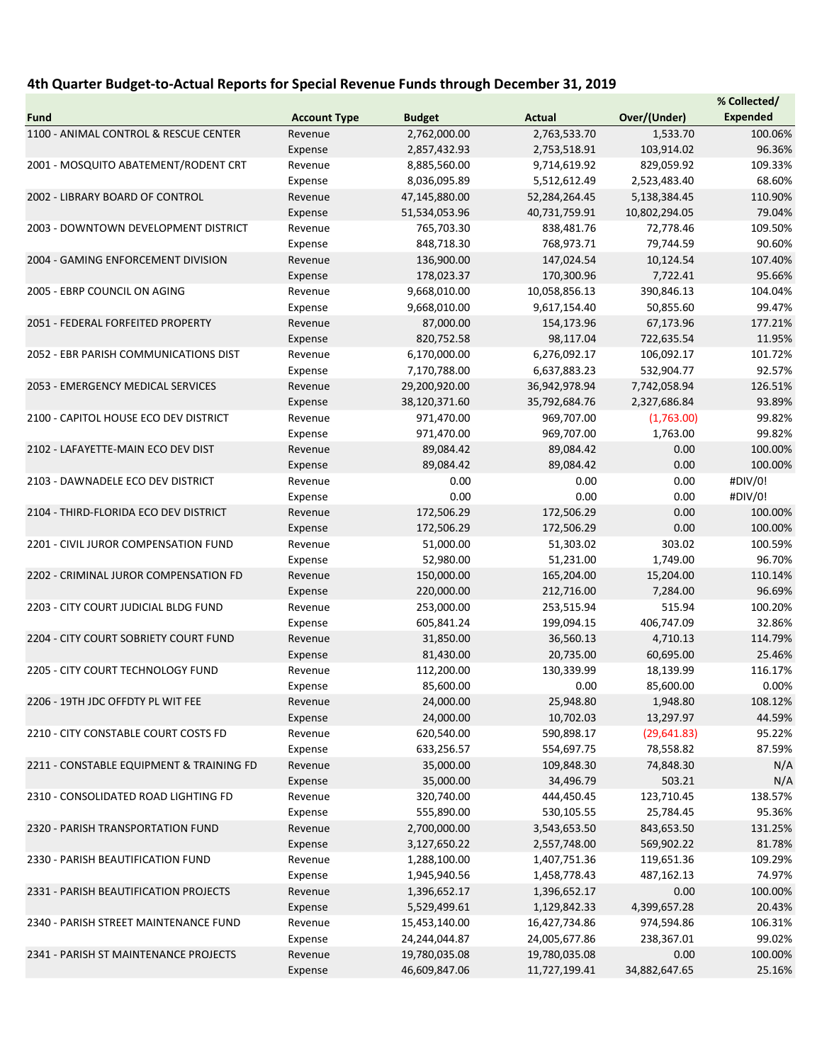## 4th Quarter Budget-to-Actual Reports for Special Revenue Funds through December 31, 2019

|                                                                                  |                     |               |               |               | % Collected/    |
|----------------------------------------------------------------------------------|---------------------|---------------|---------------|---------------|-----------------|
| <b>Fund</b>                                                                      | <b>Account Type</b> | <b>Budget</b> | <b>Actual</b> | Over/(Under)  | <b>Expended</b> |
| 1100 - ANIMAL CONTROL & RESCUE CENTER                                            | Revenue             | 2,762,000.00  | 2,763,533.70  | 1,533.70      | 100.06%         |
|                                                                                  | Expense             | 2,857,432.93  | 2,753,518.91  | 103,914.02    | 96.36%          |
| 2001 - MOSQUITO ABATEMENT/RODENT CRT                                             | Revenue             | 8,885,560.00  | 9,714,619.92  | 829,059.92    | 109.33%         |
|                                                                                  | Expense             | 8,036,095.89  | 5,512,612.49  | 2,523,483.40  | 68.60%          |
| 2002 - LIBRARY BOARD OF CONTROL                                                  | Revenue             | 47,145,880.00 | 52,284,264.45 | 5,138,384.45  | 110.90%         |
|                                                                                  | Expense             | 51,534,053.96 | 40,731,759.91 | 10,802,294.05 | 79.04%          |
| 2003 - DOWNTOWN DEVELOPMENT DISTRICT                                             | Revenue             | 765,703.30    | 838,481.76    | 72,778.46     | 109.50%         |
|                                                                                  | Expense             | 848,718.30    | 768,973.71    | 79,744.59     | 90.60%          |
| 2004 - GAMING ENFORCEMENT DIVISION                                               | Revenue             | 136,900.00    | 147,024.54    | 10,124.54     | 107.40%         |
|                                                                                  | Expense             | 178,023.37    | 170,300.96    | 7,722.41      | 95.66%          |
|                                                                                  | Revenue             | 9,668,010.00  | 10,058,856.13 | 390,846.13    | 104.04%         |
| 2005 - EBRP COUNCIL ON AGING                                                     |                     |               |               |               |                 |
|                                                                                  | Expense             | 9,668,010.00  | 9,617,154.40  | 50,855.60     | 99.47%          |
| 2051 - FEDERAL FORFEITED PROPERTY                                                | Revenue             | 87,000.00     | 154,173.96    | 67,173.96     | 177.21%         |
|                                                                                  | Expense             | 820,752.58    | 98,117.04     | 722,635.54    | 11.95%          |
| 2052 - EBR PARISH COMMUNICATIONS DIST                                            | Revenue             | 6,170,000.00  | 6,276,092.17  | 106,092.17    | 101.72%         |
|                                                                                  | Expense             | 7,170,788.00  | 6,637,883.23  | 532,904.77    | 92.57%          |
| 2053 - EMERGENCY MEDICAL SERVICES                                                | Revenue             | 29,200,920.00 | 36,942,978.94 | 7,742,058.94  | 126.51%         |
|                                                                                  | Expense             | 38,120,371.60 | 35,792,684.76 | 2,327,686.84  | 93.89%          |
| 2100 - CAPITOL HOUSE ECO DEV DISTRICT                                            | Revenue             | 971,470.00    | 969,707.00    | (1,763.00)    | 99.82%          |
|                                                                                  | Expense             | 971,470.00    | 969,707.00    | 1,763.00      | 99.82%          |
| 2102 - LAFAYETTE-MAIN ECO DEV DIST                                               | Revenue             | 89,084.42     | 89,084.42     | 0.00          | 100.00%         |
|                                                                                  | Expense             | 89,084.42     | 89,084.42     | 0.00          | 100.00%         |
| 2103 - DAWNADELE ECO DEV DISTRICT                                                | Revenue             | 0.00          | 0.00          | 0.00          | #DIV/0!         |
|                                                                                  | Expense             | 0.00          | 0.00          | 0.00          | #DIV/0!         |
| 2104 - THIRD-FLORIDA ECO DEV DISTRICT                                            | Revenue             | 172,506.29    | 172,506.29    | 0.00          | 100.00%         |
|                                                                                  | Expense             | 172,506.29    | 172,506.29    | 0.00          | 100.00%         |
| 2201 - CIVIL JUROR COMPENSATION FUND                                             | Revenue             | 51,000.00     | 51,303.02     | 303.02        | 100.59%         |
|                                                                                  | Expense             | 52,980.00     | 51,231.00     | 1,749.00      | 96.70%          |
| 2202 - CRIMINAL JUROR COMPENSATION FD                                            | Revenue             | 150,000.00    | 165,204.00    | 15,204.00     | 110.14%         |
|                                                                                  | Expense             | 220,000.00    | 212,716.00    | 7,284.00      | 96.69%          |
| 2203 - CITY COURT JUDICIAL BLDG FUND                                             | Revenue             | 253,000.00    | 253,515.94    | 515.94        | 100.20%         |
|                                                                                  | Expense             | 605,841.24    | 199,094.15    | 406,747.09    | 32.86%          |
| 2204 - CITY COURT SOBRIETY COURT FUND                                            | Revenue             | 31,850.00     | 36,560.13     | 4,710.13      | 114.79%         |
|                                                                                  | Expense             | 81,430.00     | 20,735.00     | 60,695.00     | 25.46%          |
| 2205 - CITY COURT TECHNOLOGY FUND                                                | Revenue             | 112,200.00    | 130,339.99    | 18,139.99     | 116.17%         |
| 2206 - 19TH JDC OFFDTY PL WIT FEE                                                | Expense             | 85,600.00     | 0.00          | 85,600.00     | 0.00%           |
|                                                                                  |                     | 24,000.00     | 25,948.80     | 1,948.80      | 108.12%         |
|                                                                                  | Revenue             | 24,000.00     | 10,702.03     |               | 44.59%          |
| 2210 - CITY CONSTABLE COURT COSTS FD<br>2211 - CONSTABLE EQUIPMENT & TRAINING FD | Expense<br>Revenue  |               |               | 13,297.97     | 95.22%          |
|                                                                                  |                     | 620,540.00    | 590,898.17    | (29, 641.83)  |                 |
|                                                                                  | Expense             | 633,256.57    | 554,697.75    | 78,558.82     | 87.59%          |
|                                                                                  | Revenue             | 35,000.00     | 109,848.30    | 74,848.30     | N/A             |
|                                                                                  | Expense             | 35,000.00     | 34,496.79     | 503.21        | N/A             |
| 2310 - CONSOLIDATED ROAD LIGHTING FD                                             | Revenue             | 320,740.00    | 444,450.45    | 123,710.45    | 138.57%         |
|                                                                                  | Expense             | 555,890.00    | 530,105.55    | 25,784.45     | 95.36%          |
| 2320 - PARISH TRANSPORTATION FUND                                                | Revenue             | 2,700,000.00  | 3,543,653.50  | 843,653.50    | 131.25%         |
|                                                                                  | Expense             | 3,127,650.22  | 2,557,748.00  | 569,902.22    | 81.78%          |
| 2330 - PARISH BEAUTIFICATION FUND                                                | Revenue             | 1,288,100.00  | 1,407,751.36  | 119,651.36    | 109.29%         |
|                                                                                  | Expense             | 1,945,940.56  | 1,458,778.43  | 487,162.13    | 74.97%          |
| 2331 - PARISH BEAUTIFICATION PROJECTS                                            | Revenue             | 1,396,652.17  | 1,396,652.17  | 0.00          | 100.00%         |
|                                                                                  | Expense             | 5,529,499.61  | 1,129,842.33  | 4,399,657.28  | 20.43%          |
| 2340 - PARISH STREET MAINTENANCE FUND                                            | Revenue             | 15,453,140.00 | 16,427,734.86 | 974,594.86    | 106.31%         |
|                                                                                  | Expense             | 24,244,044.87 | 24,005,677.86 | 238,367.01    | 99.02%          |
| 2341 - PARISH ST MAINTENANCE PROJECTS                                            | Revenue             | 19,780,035.08 | 19,780,035.08 | 0.00          | 100.00%         |
|                                                                                  | Expense             | 46,609,847.06 | 11,727,199.41 | 34,882,647.65 | 25.16%          |